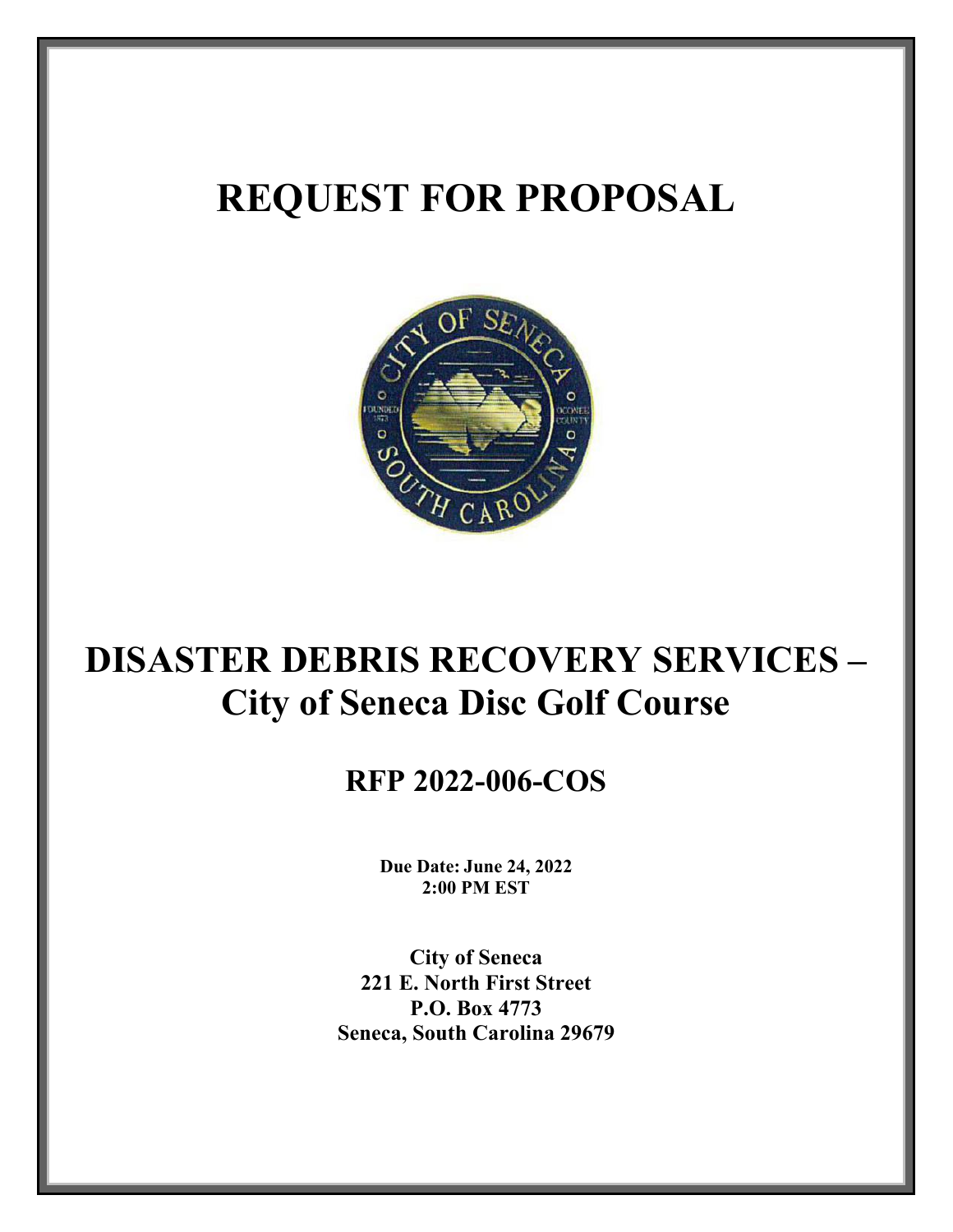# **REQUEST FOR PROPOSAL**



# **DISASTER DEBRIS RECOVERY SERVICES – City of Seneca Disc Golf Course**

## **RFP 2022-006-COS**

**Due Date: June 24, 2022 2:00 PM EST** 

**City of Seneca 221 E. North First Street P.O. Box 4773 Seneca, South Carolina 29679**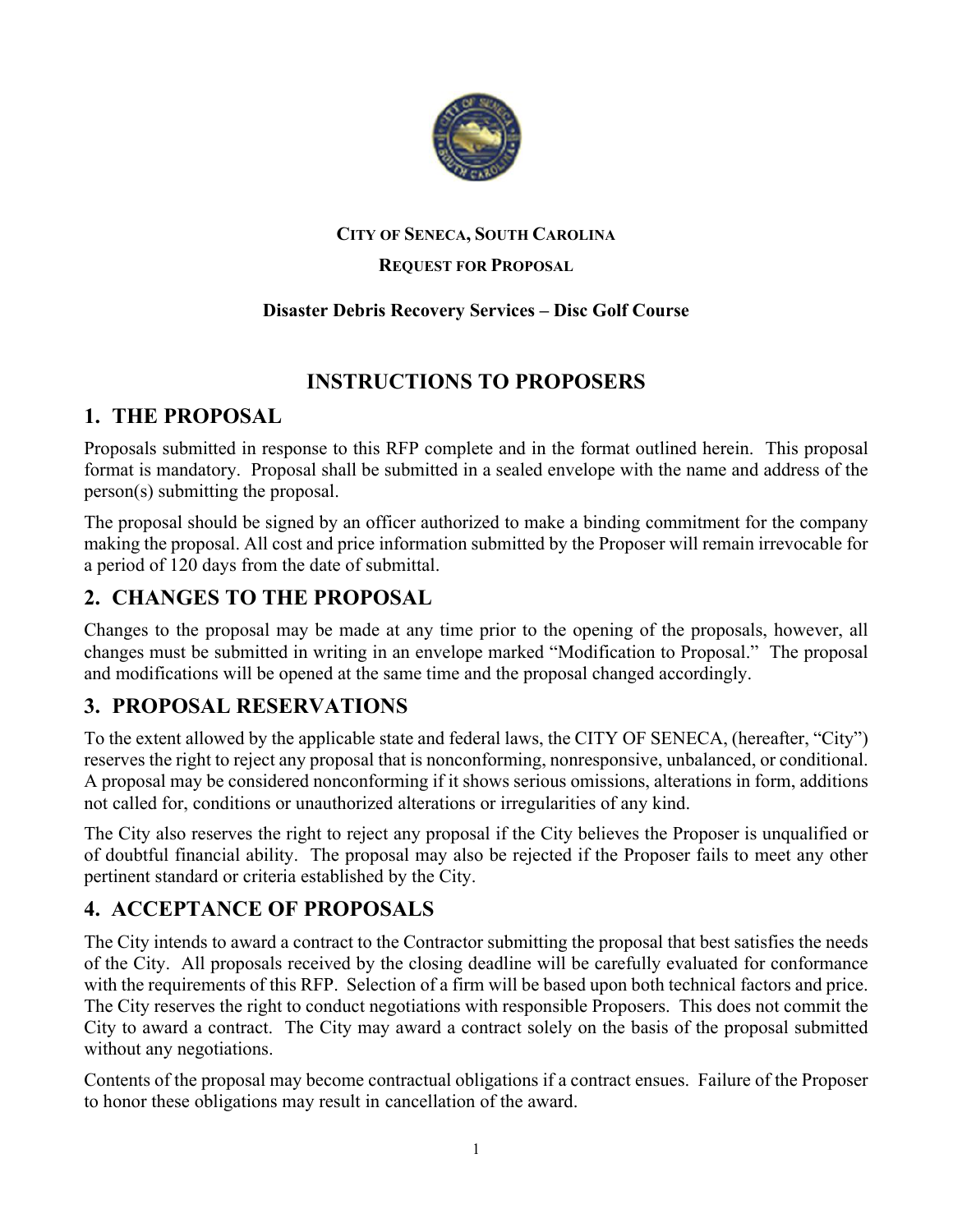

#### **CITY OF SENECA, SOUTH CAROLINA**

#### **REQUEST FOR PROPOSAL**

#### **Disaster Debris Recovery Services – Disc Golf Course**

#### **INSTRUCTIONS TO PROPOSERS**

#### **1. THE PROPOSAL**

Proposals submitted in response to this RFP complete and in the format outlined herein. This proposal format is mandatory. Proposal shall be submitted in a sealed envelope with the name and address of the person(s) submitting the proposal.

The proposal should be signed by an officer authorized to make a binding commitment for the company making the proposal. All cost and price information submitted by the Proposer will remain irrevocable for a period of 120 days from the date of submittal.

#### **2. CHANGES TO THE PROPOSAL**

Changes to the proposal may be made at any time prior to the opening of the proposals, however, all changes must be submitted in writing in an envelope marked "Modification to Proposal." The proposal and modifications will be opened at the same time and the proposal changed accordingly.

#### **3. PROPOSAL RESERVATIONS**

To the extent allowed by the applicable state and federal laws, the CITY OF SENECA, (hereafter, "City") reserves the right to reject any proposal that is nonconforming, nonresponsive, unbalanced, or conditional. A proposal may be considered nonconforming if it shows serious omissions, alterations in form, additions not called for, conditions or unauthorized alterations or irregularities of any kind.

The City also reserves the right to reject any proposal if the City believes the Proposer is unqualified or of doubtful financial ability. The proposal may also be rejected if the Proposer fails to meet any other pertinent standard or criteria established by the City.

#### **4. ACCEPTANCE OF PROPOSALS**

The City intends to award a contract to the Contractor submitting the proposal that best satisfies the needs of the City. All proposals received by the closing deadline will be carefully evaluated for conformance with the requirements of this RFP. Selection of a firm will be based upon both technical factors and price. The City reserves the right to conduct negotiations with responsible Proposers. This does not commit the City to award a contract. The City may award a contract solely on the basis of the proposal submitted without any negotiations.

Contents of the proposal may become contractual obligations if a contract ensues. Failure of the Proposer to honor these obligations may result in cancellation of the award.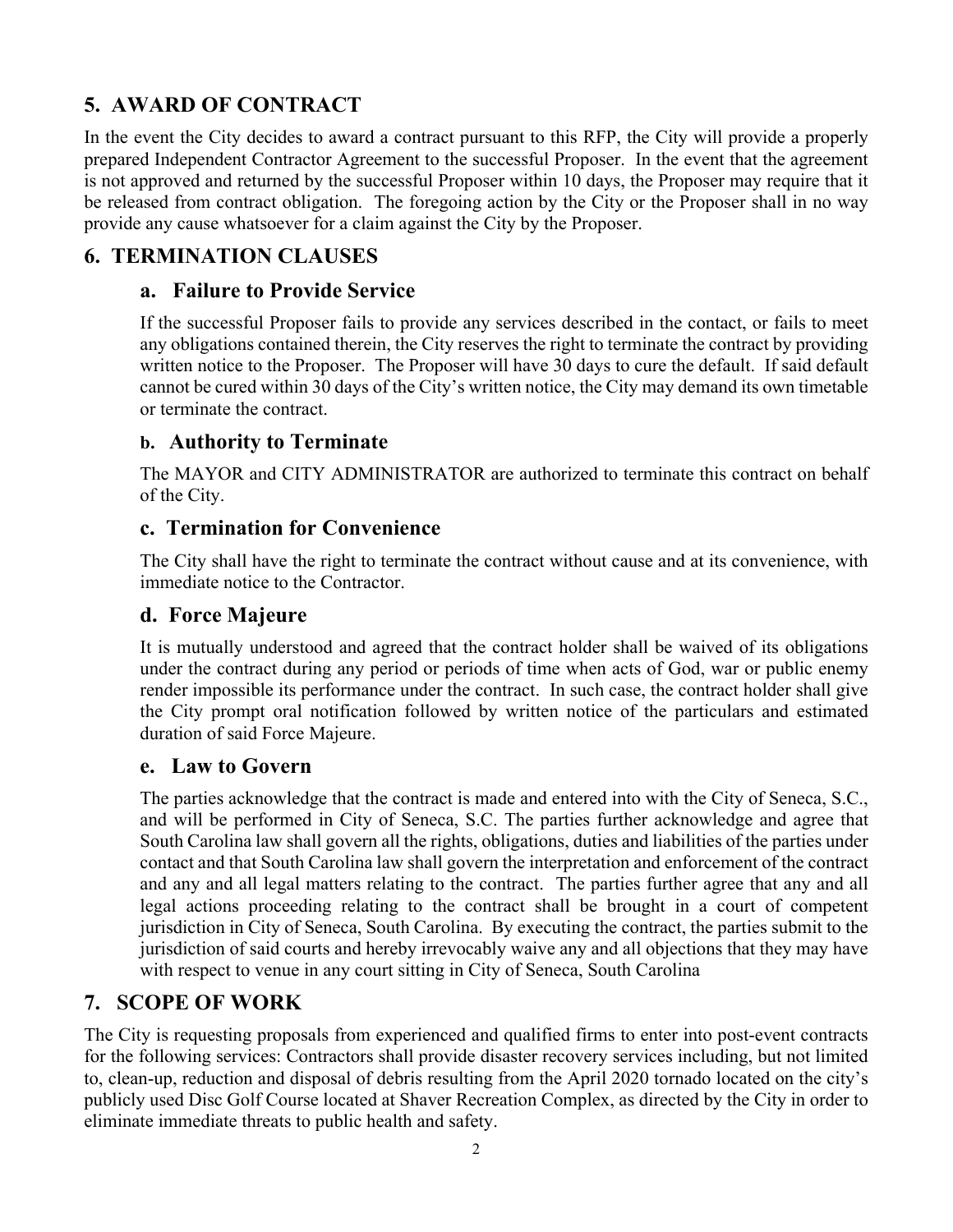## **5. AWARD OF CONTRACT**

In the event the City decides to award a contract pursuant to this RFP, the City will provide a properly prepared Independent Contractor Agreement to the successful Proposer. In the event that the agreement is not approved and returned by the successful Proposer within 10 days, the Proposer may require that it be released from contract obligation. The foregoing action by the City or the Proposer shall in no way provide any cause whatsoever for a claim against the City by the Proposer.

## **6. TERMINATION CLAUSES**

#### **a. Failure to Provide Service**

If the successful Proposer fails to provide any services described in the contact, or fails to meet any obligations contained therein, the City reserves the right to terminate the contract by providing written notice to the Proposer. The Proposer will have 30 days to cure the default. If said default cannot be cured within 30 days of the City's written notice, the City may demand its own timetable or terminate the contract.

#### **b. Authority to Terminate**

The MAYOR and CITY ADMINISTRATOR are authorized to terminate this contract on behalf of the City.

#### **c. Termination for Convenience**

The City shall have the right to terminate the contract without cause and at its convenience, with immediate notice to the Contractor.

## **d. Force Majeure**

It is mutually understood and agreed that the contract holder shall be waived of its obligations under the contract during any period or periods of time when acts of God, war or public enemy render impossible its performance under the contract. In such case, the contract holder shall give the City prompt oral notification followed by written notice of the particulars and estimated duration of said Force Majeure.

#### **e. Law to Govern**

The parties acknowledge that the contract is made and entered into with the City of Seneca, S.C., and will be performed in City of Seneca, S.C. The parties further acknowledge and agree that South Carolina law shall govern all the rights, obligations, duties and liabilities of the parties under contact and that South Carolina law shall govern the interpretation and enforcement of the contract and any and all legal matters relating to the contract. The parties further agree that any and all legal actions proceeding relating to the contract shall be brought in a court of competent jurisdiction in City of Seneca, South Carolina. By executing the contract, the parties submit to the jurisdiction of said courts and hereby irrevocably waive any and all objections that they may have with respect to venue in any court sitting in City of Seneca, South Carolina

## **7. SCOPE OF WORK**

The City is requesting proposals from experienced and qualified firms to enter into post-event contracts for the following services: Contractors shall provide disaster recovery services including, but not limited to, clean-up, reduction and disposal of debris resulting from the April 2020 tornado located on the city's publicly used Disc Golf Course located at Shaver Recreation Complex, as directed by the City in order to eliminate immediate threats to public health and safety.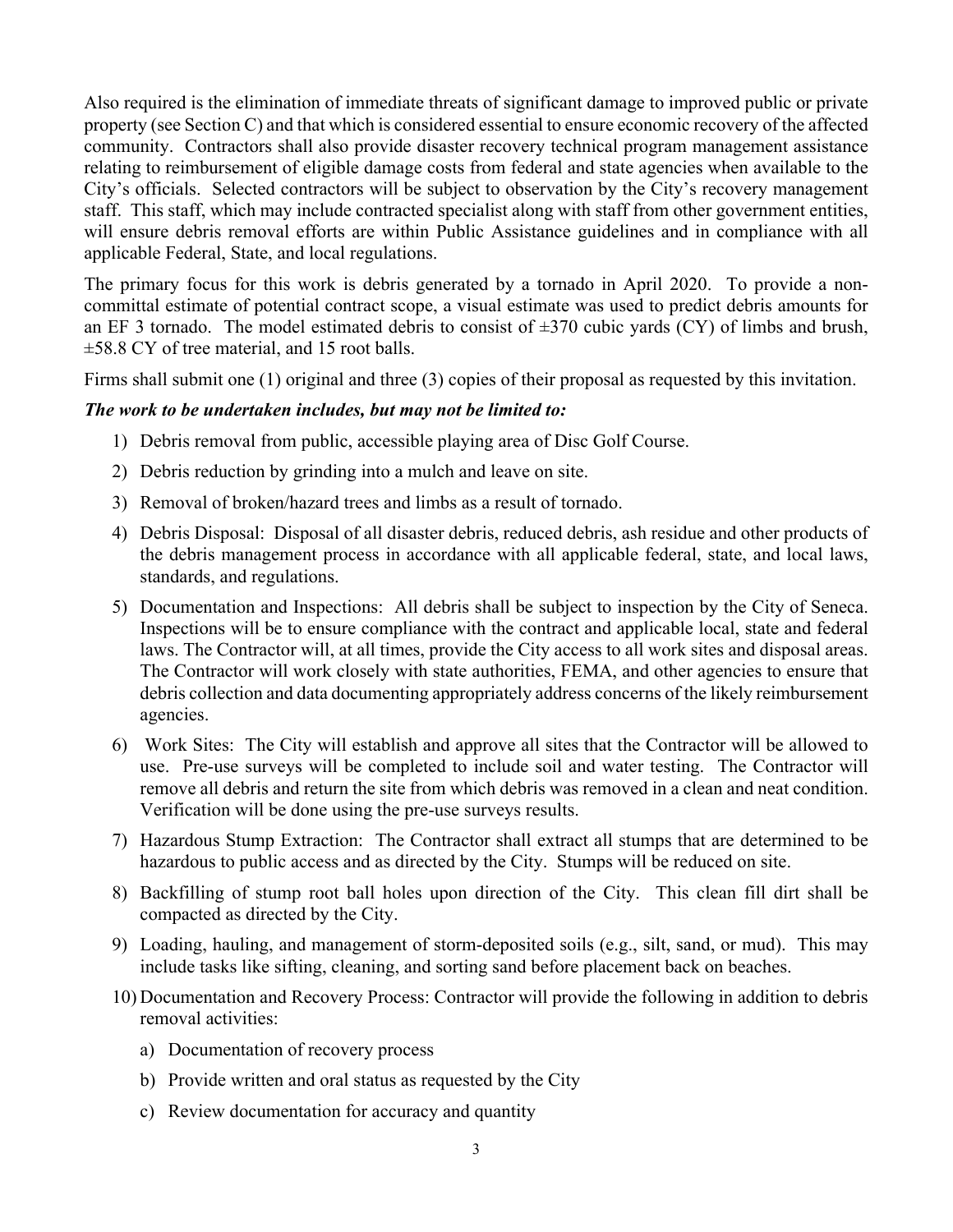Also required is the elimination of immediate threats of significant damage to improved public or private property (see Section C) and that which is considered essential to ensure economic recovery of the affected community. Contractors shall also provide disaster recovery technical program management assistance relating to reimbursement of eligible damage costs from federal and state agencies when available to the City's officials. Selected contractors will be subject to observation by the City's recovery management staff. This staff, which may include contracted specialist along with staff from other government entities, will ensure debris removal efforts are within Public Assistance guidelines and in compliance with all applicable Federal, State, and local regulations.

The primary focus for this work is debris generated by a tornado in April 2020. To provide a noncommittal estimate of potential contract scope, a visual estimate was used to predict debris amounts for an EF 3 tornado. The model estimated debris to consist of  $\pm 370$  cubic yards (CY) of limbs and brush, ±58.8 CY of tree material, and 15 root balls.

Firms shall submit one (1) original and three (3) copies of their proposal as requested by this invitation.

#### *The work to be undertaken includes, but may not be limited to:*

- 1) Debris removal from public, accessible playing area of Disc Golf Course.
- 2) Debris reduction by grinding into a mulch and leave on site.
- 3) Removal of broken/hazard trees and limbs as a result of tornado.
- 4) Debris Disposal: Disposal of all disaster debris, reduced debris, ash residue and other products of the debris management process in accordance with all applicable federal, state, and local laws, standards, and regulations.
- 5) Documentation and Inspections: All debris shall be subject to inspection by the City of Seneca. Inspections will be to ensure compliance with the contract and applicable local, state and federal laws. The Contractor will, at all times, provide the City access to all work sites and disposal areas. The Contractor will work closely with state authorities, FEMA, and other agencies to ensure that debris collection and data documenting appropriately address concerns of the likely reimbursement agencies.
- 6) Work Sites: The City will establish and approve all sites that the Contractor will be allowed to use. Pre-use surveys will be completed to include soil and water testing. The Contractor will remove all debris and return the site from which debris was removed in a clean and neat condition. Verification will be done using the pre-use surveys results.
- 7) Hazardous Stump Extraction: The Contractor shall extract all stumps that are determined to be hazardous to public access and as directed by the City. Stumps will be reduced on site.
- 8) Backfilling of stump root ball holes upon direction of the City. This clean fill dirt shall be compacted as directed by the City.
- 9) Loading, hauling, and management of storm-deposited soils (e.g., silt, sand, or mud). This may include tasks like sifting, cleaning, and sorting sand before placement back on beaches.
- 10) Documentation and Recovery Process: Contractor will provide the following in addition to debris removal activities:
	- a) Documentation of recovery process
	- b) Provide written and oral status as requested by the City
	- c) Review documentation for accuracy and quantity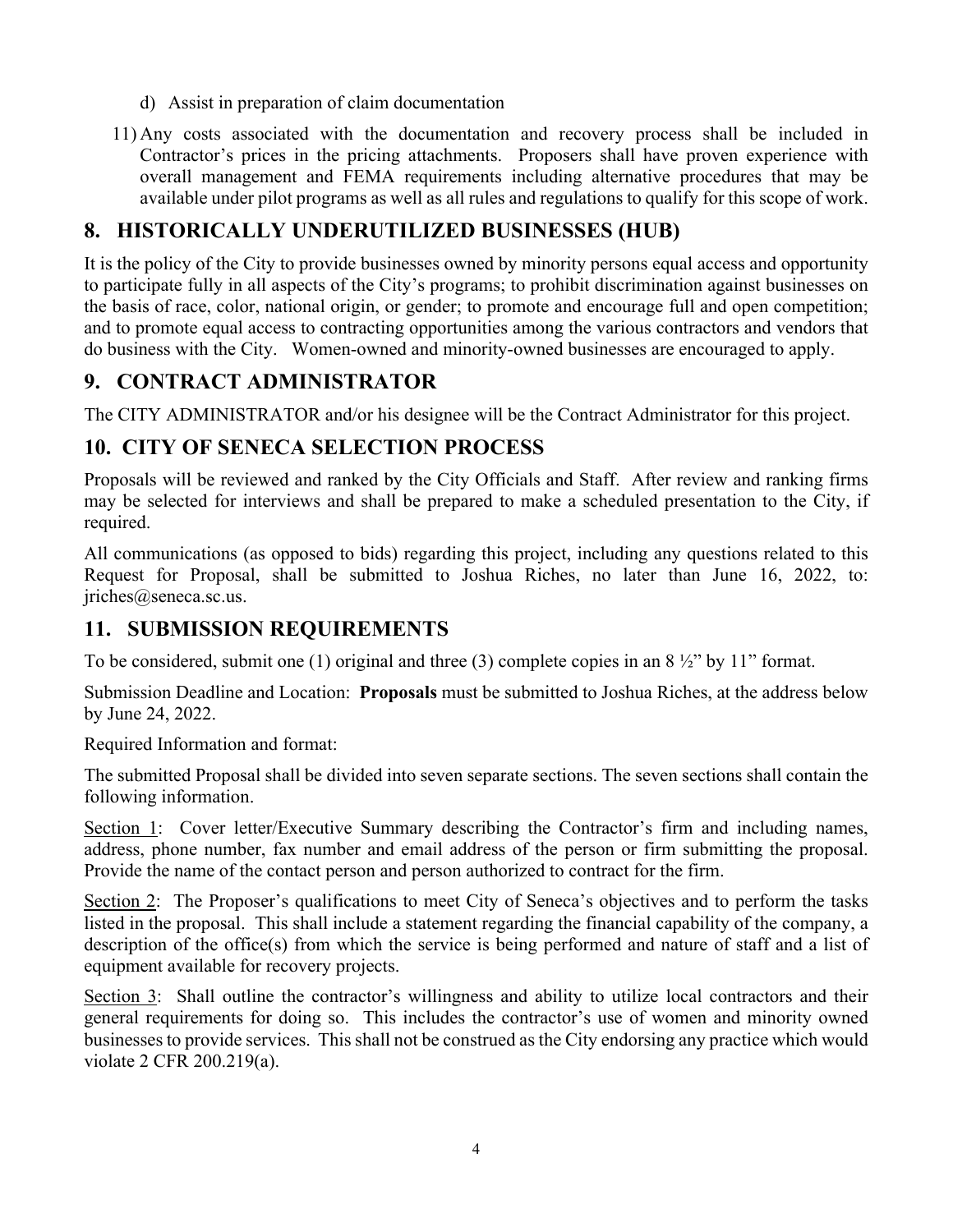- d) Assist in preparation of claim documentation
- 11) Any costs associated with the documentation and recovery process shall be included in Contractor's prices in the pricing attachments. Proposers shall have proven experience with overall management and FEMA requirements including alternative procedures that may be available under pilot programs as well as all rules and regulations to qualify for this scope of work.

## **8. HISTORICALLY UNDERUTILIZED BUSINESSES (HUB)**

It is the policy of the City to provide businesses owned by minority persons equal access and opportunity to participate fully in all aspects of the City's programs; to prohibit discrimination against businesses on the basis of race, color, national origin, or gender; to promote and encourage full and open competition; and to promote equal access to contracting opportunities among the various contractors and vendors that do business with the City. Women-owned and minority-owned businesses are encouraged to apply.

## **9. CONTRACT ADMINISTRATOR**

The CITY ADMINISTRATOR and/or his designee will be the Contract Administrator for this project.

## **10. CITY OF SENECA SELECTION PROCESS**

Proposals will be reviewed and ranked by the City Officials and Staff. After review and ranking firms may be selected for interviews and shall be prepared to make a scheduled presentation to the City, if required.

All communications (as opposed to bids) regarding this project, including any questions related to this Request for Proposal, shall be submitted to Joshua Riches, no later than June 16, 2022, to: jriches@seneca.sc.us.

#### **11. SUBMISSION REQUIREMENTS**

To be considered, submit one (1) original and three (3) complete copies in an  $8\frac{1}{2}$ " by 11" format.

Submission Deadline and Location: **Proposals** must be submitted to Joshua Riches, at the address below by June 24, 2022.

Required Information and format:

The submitted Proposal shall be divided into seven separate sections. The seven sections shall contain the following information.

Section 1: Cover letter/Executive Summary describing the Contractor's firm and including names, address, phone number, fax number and email address of the person or firm submitting the proposal. Provide the name of the contact person and person authorized to contract for the firm.

Section 2: The Proposer's qualifications to meet City of Seneca's objectives and to perform the tasks listed in the proposal. This shall include a statement regarding the financial capability of the company, a description of the office(s) from which the service is being performed and nature of staff and a list of equipment available for recovery projects.

Section 3: Shall outline the contractor's willingness and ability to utilize local contractors and their general requirements for doing so. This includes the contractor's use of women and minority owned businesses to provide services. This shall not be construed as the City endorsing any practice which would violate 2 CFR 200.219(a).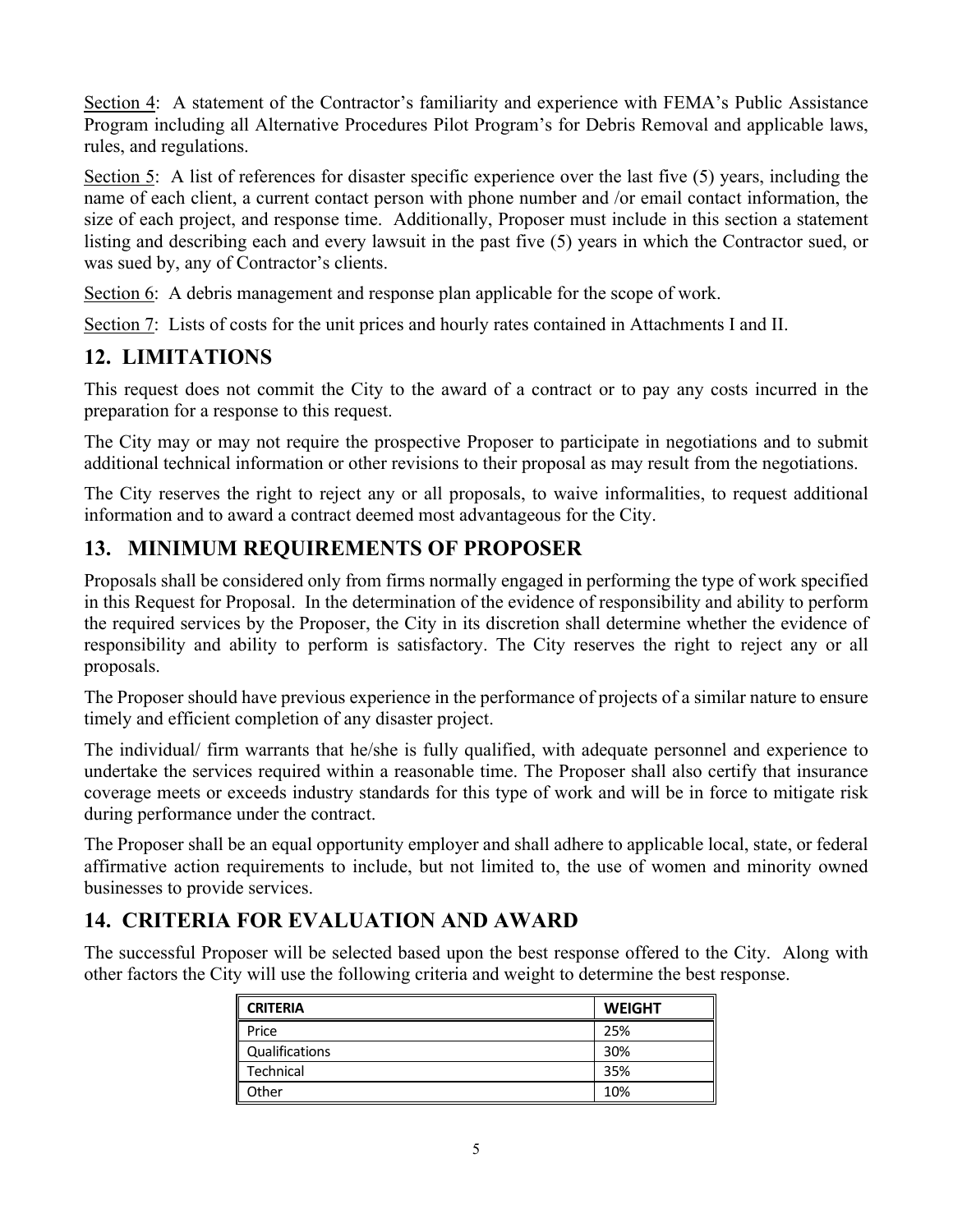Section 4: A statement of the Contractor's familiarity and experience with FEMA's Public Assistance Program including all Alternative Procedures Pilot Program's for Debris Removal and applicable laws, rules, and regulations.

Section 5: A list of references for disaster specific experience over the last five (5) years, including the name of each client, a current contact person with phone number and /or email contact information, the size of each project, and response time. Additionally, Proposer must include in this section a statement listing and describing each and every lawsuit in the past five (5) years in which the Contractor sued, or was sued by, any of Contractor's clients.

Section 6: A debris management and response plan applicable for the scope of work.

Section 7: Lists of costs for the unit prices and hourly rates contained in Attachments I and II.

## **12. LIMITATIONS**

This request does not commit the City to the award of a contract or to pay any costs incurred in the preparation for a response to this request.

The City may or may not require the prospective Proposer to participate in negotiations and to submit additional technical information or other revisions to their proposal as may result from the negotiations.

The City reserves the right to reject any or all proposals, to waive informalities, to request additional information and to award a contract deemed most advantageous for the City.

## **13. MINIMUM REQUIREMENTS OF PROPOSER**

Proposals shall be considered only from firms normally engaged in performing the type of work specified in this Request for Proposal. In the determination of the evidence of responsibility and ability to perform the required services by the Proposer, the City in its discretion shall determine whether the evidence of responsibility and ability to perform is satisfactory. The City reserves the right to reject any or all proposals.

The Proposer should have previous experience in the performance of projects of a similar nature to ensure timely and efficient completion of any disaster project.

The individual/ firm warrants that he/she is fully qualified, with adequate personnel and experience to undertake the services required within a reasonable time. The Proposer shall also certify that insurance coverage meets or exceeds industry standards for this type of work and will be in force to mitigate risk during performance under the contract.

The Proposer shall be an equal opportunity employer and shall adhere to applicable local, state, or federal affirmative action requirements to include, but not limited to, the use of women and minority owned businesses to provide services.

## **14. CRITERIA FOR EVALUATION AND AWARD**

The successful Proposer will be selected based upon the best response offered to the City. Along with other factors the City will use the following criteria and weight to determine the best response.

| <b>CRITERIA</b> | <b>WEIGHT</b> |
|-----------------|---------------|
| Price           | 25%           |
| Qualifications  | 30%           |
| Technical       | 35%           |
| Other           | 10%           |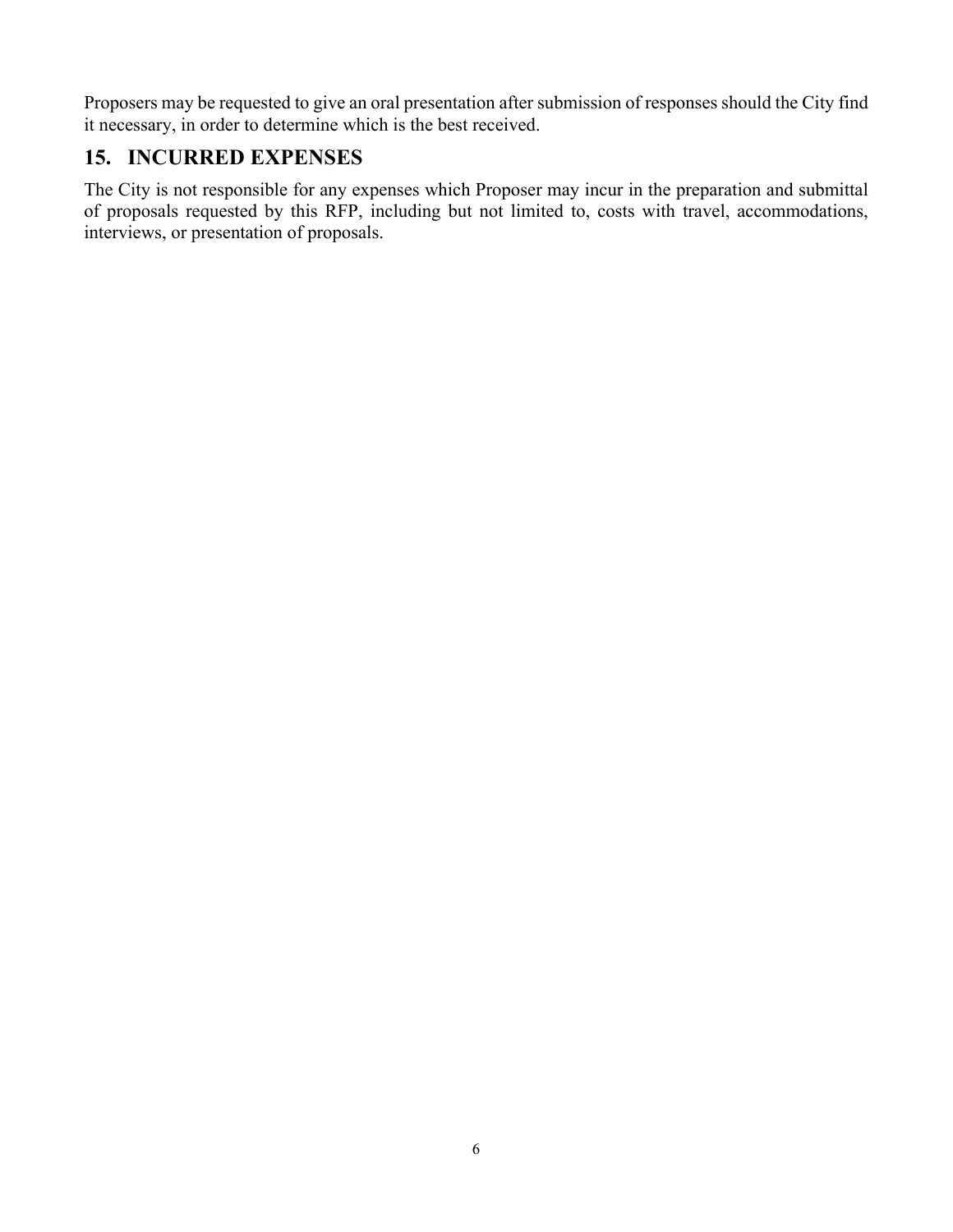Proposers may be requested to give an oral presentation after submission of responses should the City find it necessary, in order to determine which is the best received.

#### **15. INCURRED EXPENSES**

The City is not responsible for any expenses which Proposer may incur in the preparation and submittal of proposals requested by this RFP, including but not limited to, costs with travel, accommodations, interviews, or presentation of proposals.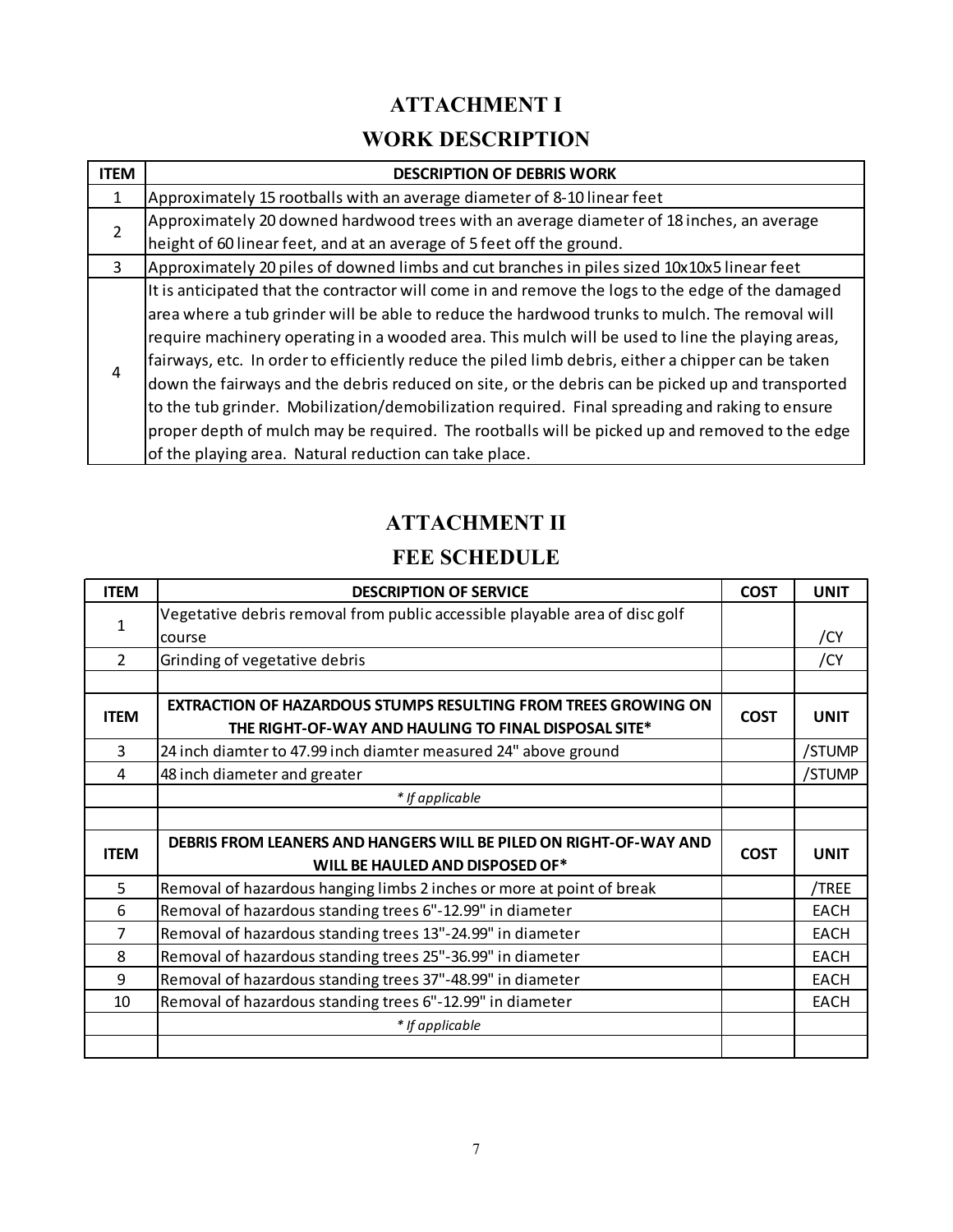## **ATTACHMENT I**

## **WORK DESCRIPTION**

| <b>ITEM</b>    | <b>DESCRIPTION OF DEBRIS WORK</b>                                                                  |
|----------------|----------------------------------------------------------------------------------------------------|
| 1              | Approximately 15 rootballs with an average diameter of 8-10 linear feet                            |
| $\overline{2}$ | Approximately 20 downed hardwood trees with an average diameter of 18 inches, an average           |
|                | height of 60 linear feet, and at an average of 5 feet off the ground.                              |
| 3              | Approximately 20 piles of downed limbs and cut branches in piles sized 10x10x5 linear feet         |
| 4              | It is anticipated that the contractor will come in and remove the logs to the edge of the damaged  |
|                | area where a tub grinder will be able to reduce the hardwood trunks to mulch. The removal will     |
|                | require machinery operating in a wooded area. This mulch will be used to line the playing areas,   |
|                | fairways, etc. In order to efficiently reduce the piled limb debris, either a chipper can be taken |
|                | down the fairways and the debris reduced on site, or the debris can be picked up and transported   |
|                | to the tub grinder. Mobilization/demobilization required. Final spreading and raking to ensure     |
|                | proper depth of mulch may be required. The rootballs will be picked up and removed to the edge     |
|                | of the playing area. Natural reduction can take place.                                             |

## **ATTACHMENT II**

## **FEE SCHEDULE**

| <b>ITEM</b>    | <b>DESCRIPTION OF SERVICE</b>                                               | <b>COST</b>                | <b>UNIT</b> |
|----------------|-----------------------------------------------------------------------------|----------------------------|-------------|
| $\mathbf{1}$   | Vegetative debris removal from public accessible playable area of disc golf |                            |             |
|                | course                                                                      |                            | /CY         |
| $\overline{2}$ | Grinding of vegetative debris                                               |                            | /CY         |
|                |                                                                             |                            |             |
| <b>ITEM</b>    | <b>EXTRACTION OF HAZARDOUS STUMPS RESULTING FROM TREES GROWING ON</b>       |                            | <b>UNIT</b> |
|                | THE RIGHT-OF-WAY AND HAULING TO FINAL DISPOSAL SITE*                        | <b>COST</b>                |             |
| 3              | 24 inch diamter to 47.99 inch diamter measured 24" above ground             |                            | /STUMP      |
| 4              | 48 inch diameter and greater                                                |                            | /STUMP      |
|                | * If applicable                                                             |                            |             |
|                |                                                                             |                            |             |
| <b>ITEM</b>    | DEBRIS FROM LEANERS AND HANGERS WILL BE PILED ON RIGHT-OF-WAY AND           | <b>COST</b><br><b>UNIT</b> |             |
|                | WILL BE HAULED AND DISPOSED OF*                                             |                            |             |
| 5              | Removal of hazardous hanging limbs 2 inches or more at point of break       |                            | /TREE       |
| 6              | Removal of hazardous standing trees 6"-12.99" in diameter                   |                            | <b>EACH</b> |
| 7              | Removal of hazardous standing trees 13"-24.99" in diameter                  |                            | <b>EACH</b> |
| 8              | Removal of hazardous standing trees 25"-36.99" in diameter                  |                            | <b>EACH</b> |
| 9              | Removal of hazardous standing trees 37"-48.99" in diameter                  |                            | <b>EACH</b> |
| 10             | Removal of hazardous standing trees 6"-12.99" in diameter                   |                            | <b>EACH</b> |
|                | * If applicable                                                             |                            |             |
|                |                                                                             |                            |             |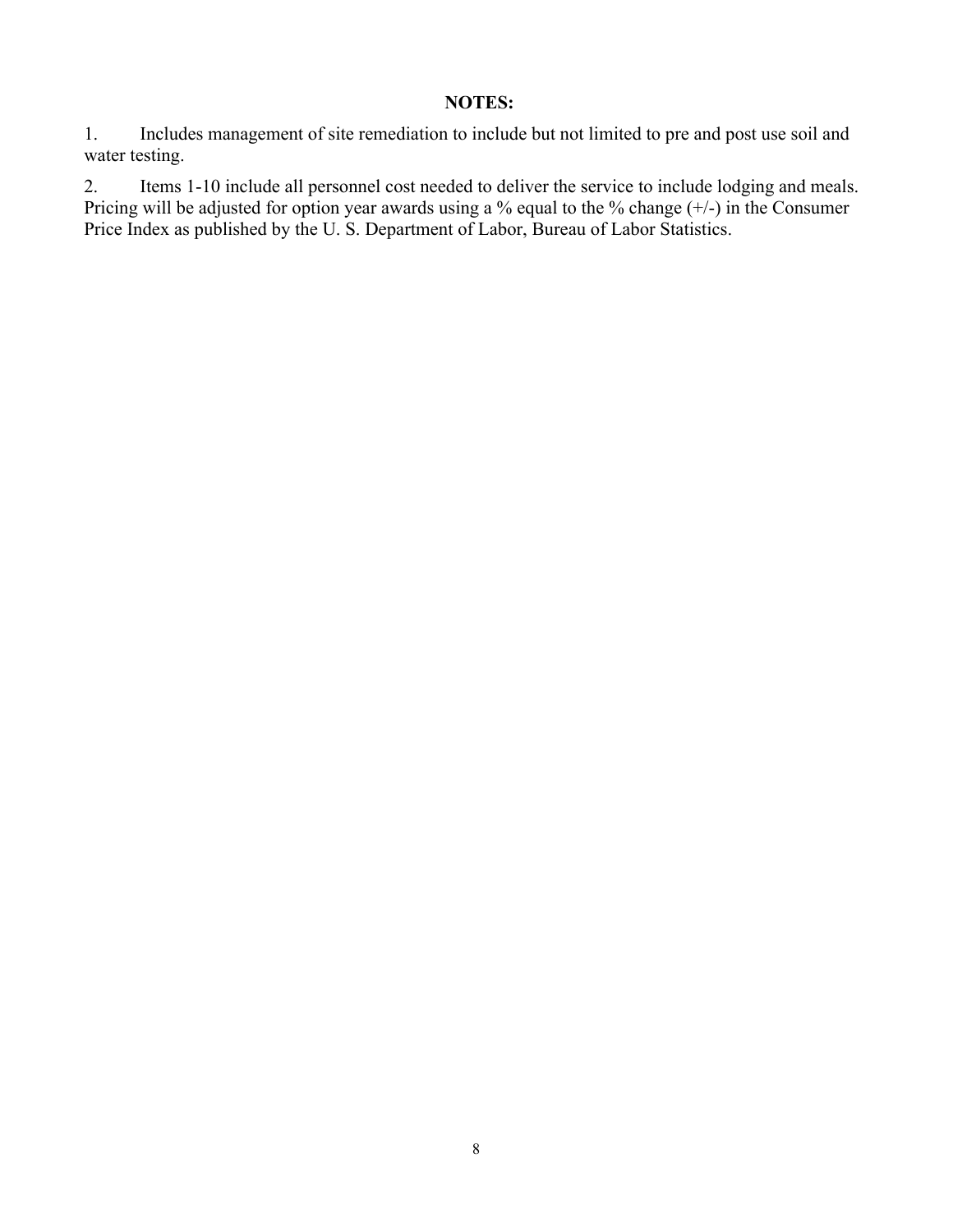#### **NOTES:**

1. Includes management of site remediation to include but not limited to pre and post use soil and water testing.

2. Items 1-10 include all personnel cost needed to deliver the service to include lodging and meals. Pricing will be adjusted for option year awards using a % equal to the % change (+/-) in the Consumer Price Index as published by the U. S. Department of Labor, Bureau of Labor Statistics.